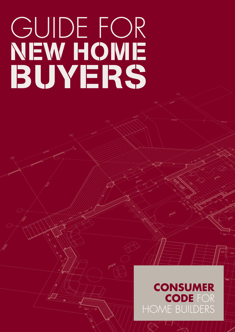# GUIDE FOR NEW HOME BUYERS

## **CONSUMER CODE FOR** HOME BUILDERS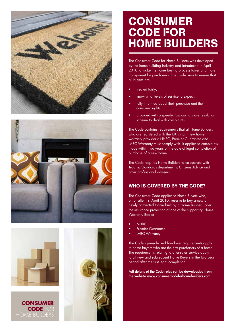







## **CONSUMER CODE FOR HOME BUILDERS**

The Consumer Code for Home Builders was developed by the home-building industry and introduced in April 2010 to make the home buying process fairer and more transparent for purchasers. The Code aims to ensure that all buyers are:

- treated fairly;
- know what levels of service to expect;
- fully informed about their purchase and their consumer rights;
- provided with a speedy, low cost dispute resolution scheme to deal with complaints.

The Code contains requirements that all Home Builders who are registered with the UK's main new home warranty providers; NHBC, Premier Guarantee and LABC Warranty must comply with. It applies to complaints made within two years of the date of legal completion of purchase of a new home.

The Code requires Home Builders to co-operate with Trading Standards departments, Citizens Advice and other professional advisers.

#### WHO IS COVERED BY THE CODE?

The Consumer Code applies to Home Buyers who, on or after 1st April 2010, reserve to buy a new or newly converted Home built by a Home Builder under the insurance protection of one of the supporting Home Warranty Bodies:

- **NHBC**
- Premier Guarantee
- **LABC Warranty**

The Code's pre-sale and handover requirements apply to home buyers who are the first purchasers of a home. The requirements relating to after-sales service apply to all new and subsequent Home Buyers in the two year period after the first legal completion.

Full details of the Code rules can be downloaded from the website www.consumercodeforhomebuilders.com

**CONSUMER CODE FOR HOME BUILDERS**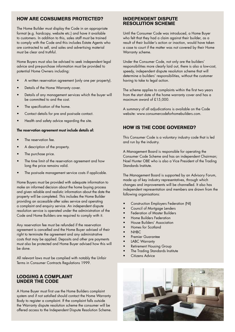#### How are consumers protected?

The Home Builder must display the Code in an appropriate format (e.g. hardcopy, website etc.) and have it available to customers. In addition to this, sales staff must be trained to comply with the Code and this includes Estate Agents who are contracted to sell, and sales and advertising material must be clear and truthful.

Home Buyers must also be advised to seek independent legal advice and pre-purchase information must be provided to potential Home Owners including:

- A written reservation agreement (only one per property).
- Details of the Home Warranty cover.
- Details of any management services which the buyer will be committed to and the cost.
- The specification of the home.
- Contact details for pre and post-sale contact.
- Health and safety advice regarding the site.

#### The reservation agreement must include details of:

- The reservation fee.
- A description of the property.
- The purchase price.
- The time limit of the reservation agreement and how long the price remains valid.
- The post-sale management service costs if applicable.

Home Buyers must be provided with adequate information to make an informed decision about the home buying process and given reliable and realistic information about the date the property will be completed. This includes the Home Builder providing an accessible after sales service and operating a complaint and enquiry service. An independent dispute resolution service is operated under the administration of the Code and Home Builders are required to comply with it.

Any reservation fee must be refunded if the reservation agreement is cancelled and the Home Buyer advised of their right to terminate the agreement and any administrative costs that may be applied. Deposits and other pre payments must also be protected and Home Buyer advised how this will be done.

All relevant laws must be complied with notably the Unfair Terms in Consumer Contracts Regulations 1999.

#### Lodging a complaint under the Code

A Home Buyer must first use the Home Builders complaint system and if not satisfied should contact the Home Warranty Body to register a complaint. If the complaint falls outside the Warranty dispute resolution scheme the consumer will be offered access to the Independent Dispute Resolution Scheme.

#### Independent Dispute Resolution Scheme

Until the Consumer Code was introduced, a Home Buyer who felt that they had a claim against their builder, as a result of their builder's action or inaction, would have taken a case to court if the matter was not covered by their Home Warranty scheme.

Under the Consumer Code, not only are the builders' responsibilities more clearly laid out, there is also a low-cost, speedy, independent dispute resolution scheme that will determine a builders' responsibilities, without the customer having to take to legal action.

The scheme applies to complaints within the first two years from the start date of the home warranty cover and has a maximum award of £15,000.

A summary of all adjudications is available on the Code website: www.consumercodeforhomebuilders.com.

#### How is the Code governed?

This Consumer Code is a voluntary industry code that is led and run by the industry.

A Management Board is responsible for operating the Consumer Code Scheme and has an independent Chairman; Noel Hunter OBE who is also a Vice President of the Trading Standards Institute.

The Management Board is supported by an Advisory Forum, made up of key industry representatives, through which changes and improvements will be channelled. It also has independent representation and members are drawn from the following organisations:

- Construction Employers Federation (NI)
- Council of Mortgage Lenders
- Federation of Master Builders
- Home Builders Federation
- House Builders' Association
- Homes for Scotland
- NHBC
- Premier Guarantee
- LABC Warranty
- Retirement Housing Group
- The Trading Standards Institute
- Citizens Advice